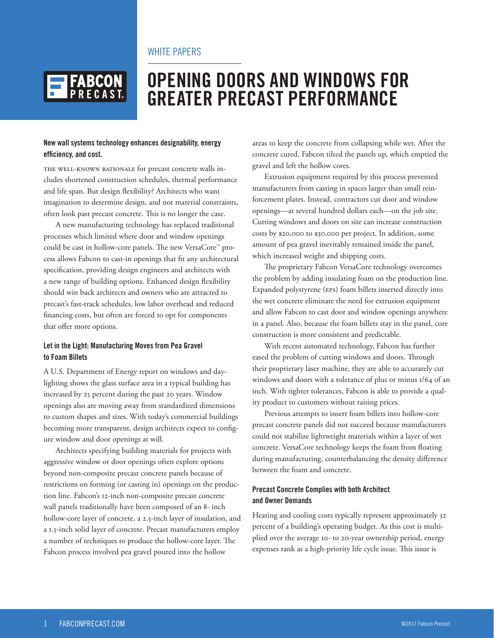## WHITE PAPERS



# **OPENING DOORS AND WINDOWS FOR GREATER PRECAST PERFORMANCE**

#### **New wall systems technology enhances designability, energy efficiency, and cost.**

The well-known rationale for precast concrete walls includes shortened construction schedules, thermal performance and life span. But design flexibility? Architects who want imagination to determine design, and not material constraints, often look past precast concrete. This is no longer the case.

A new manufacturing technology has replaced traditional processes which limited where door and window openings could be cast in hollow-core panels. The new VersaCore™ process allows Fabcon to cast-in openings that fit any architectural specification, providing design engineers and architects with a new range of building options. Enhanced design flexibility should win back architects and owners who are attracted to precast's fast-track schedules, low labor overhead and reduced financing costs, but often are forced to opt for components that offer more options.

#### **Let in the Light: Manufacturing Moves from Pea Gravel to Foam Billets**

A U.S. Department of Energy report on windows and daylighting shows the glass surface area in a typical building has increased by 25 percent during the past 20 years. Window openings also are moving away from standardized dimensions to custom shapes and sizes. With today's commercial buildings becoming more transparent, design architects expect to configure window and door openings at will.

Architects specifying building materials for projects with aggressive window or door openings often explore options beyond non-composite precast concrete panels because of restrictions on forming (or casting in) openings on the production line. Fabcon's 12-inch non-composite precast concrete wall panels traditionally have been composed of an 8- inch hollow-core layer of concrete, a 2.5-inch layer of insulation, and a 1.5-inch solid layer of concrete. Precast manufacturers employ a number of techniques to produce the hollow-core layer. The Fabcon process involved pea gravel poured into the hollow

areas to keep the concrete from collapsing while wet. After the concrete cured, Fabcon tilted the panels up, which emptied the gravel and left the hollow cores.

Extrusion equipment required by this process prevented manufacturers from casting in spaces larger than small reinforcement plates. Instead, contractors cut door and window openings—at several hundred dollars each—on the job site. Cutting windows and doors on site can increase construction costs by \$20,000 to \$30,000 per project. In addition, some amount of pea gravel inevitably remained inside the panel, which increased weight and shipping costs.

The proprietary Fabcon VersaCore technology overcomes the problem by adding insulating foam on the production line. Expanded polystyrene (EPS) foam billets inserted directly into the wet concrete eliminate the need for extrusion equipment and allow Fabcon to cast door and window openings anywhere in a panel. Also, because the foam billets stay in the panel, core construction is more consistent and predictable.

With recent automated technology, Fabcon has further eased the problem of cutting windows and doors. Through their proprietary laser machine, they are able to accurately cut windows and doors with a tolerance of plus or minus 1/64 of an inch. With tighter tolerances, Fabcon is able to provide a quality product to customers without raising prices.

Previous attempts to insert foam billets into hollow-core precast concrete panels did not succeed because manufacturers could not stabilize lightweight materials within a layer of wet concrete. VersaCore technology keeps the foam from floating during manufacturing, counterbalancing the density difference between the foam and concrete.

#### **Precast Concrete Complies with both Architect and Owner Demands**

Heating and cooling costs typically represent approximately 32 percent of a building's operating budget. As this cost is multiplied over the average 10- to 20-year ownership period, energy expenses rank as a high-priority life cycle issue. This issue is